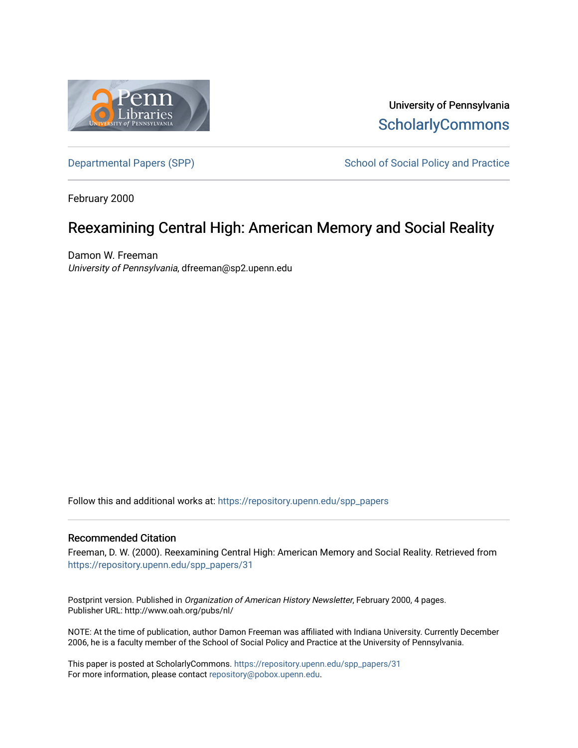

University of Pennsylvania **ScholarlyCommons** 

[Departmental Papers \(SPP\)](https://repository.upenn.edu/spp_papers) School of Social Policy and Practice

February 2000

# Reexamining Central High: American Memory and Social Reality

Damon W. Freeman University of Pennsylvania, dfreeman@sp2.upenn.edu

Follow this and additional works at: [https://repository.upenn.edu/spp\\_papers](https://repository.upenn.edu/spp_papers?utm_source=repository.upenn.edu%2Fspp_papers%2F31&utm_medium=PDF&utm_campaign=PDFCoverPages) 

## Recommended Citation

Freeman, D. W. (2000). Reexamining Central High: American Memory and Social Reality. Retrieved from [https://repository.upenn.edu/spp\\_papers/31](https://repository.upenn.edu/spp_papers/31?utm_source=repository.upenn.edu%2Fspp_papers%2F31&utm_medium=PDF&utm_campaign=PDFCoverPages)

Postprint version. Published in Organization of American History Newsletter, February 2000, 4 pages. Publisher URL: http://www.oah.org/pubs/nl/

NOTE: At the time of publication, author Damon Freeman was affiliated with Indiana University. Currently December 2006, he is a faculty member of the School of Social Policy and Practice at the University of Pennsylvania.

This paper is posted at ScholarlyCommons. [https://repository.upenn.edu/spp\\_papers/31](https://repository.upenn.edu/spp_papers/31)  For more information, please contact [repository@pobox.upenn.edu.](mailto:repository@pobox.upenn.edu)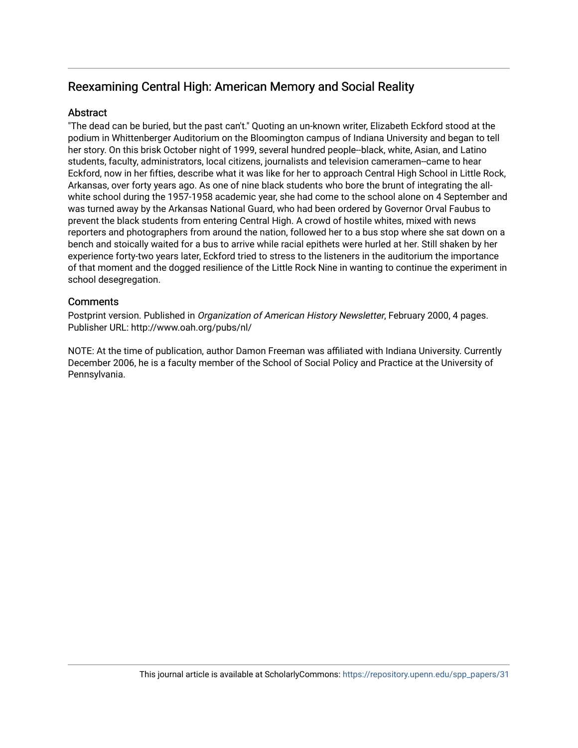# Reexamining Central High: American Memory and Social Reality

# **Abstract**

"The dead can be buried, but the past can't." Quoting an un-known writer, Elizabeth Eckford stood at the podium in Whittenberger Auditorium on the Bloomington campus of Indiana University and began to tell her story. On this brisk October night of 1999, several hundred people--black, white, Asian, and Latino students, faculty, administrators, local citizens, journalists and television cameramen--came to hear Eckford, now in her fifties, describe what it was like for her to approach Central High School in Little Rock, Arkansas, over forty years ago. As one of nine black students who bore the brunt of integrating the allwhite school during the 1957-1958 academic year, she had come to the school alone on 4 September and was turned away by the Arkansas National Guard, who had been ordered by Governor Orval Faubus to prevent the black students from entering Central High. A crowd of hostile whites, mixed with news reporters and photographers from around the nation, followed her to a bus stop where she sat down on a bench and stoically waited for a bus to arrive while racial epithets were hurled at her. Still shaken by her experience forty-two years later, Eckford tried to stress to the listeners in the auditorium the importance of that moment and the dogged resilience of the Little Rock Nine in wanting to continue the experiment in school desegregation.

# **Comments**

Postprint version. Published in Organization of American History Newsletter, February 2000, 4 pages. Publisher URL: http://www.oah.org/pubs/nl/

NOTE: At the time of publication, author Damon Freeman was affiliated with Indiana University. Currently December 2006, he is a faculty member of the School of Social Policy and Practice at the University of Pennsylvania.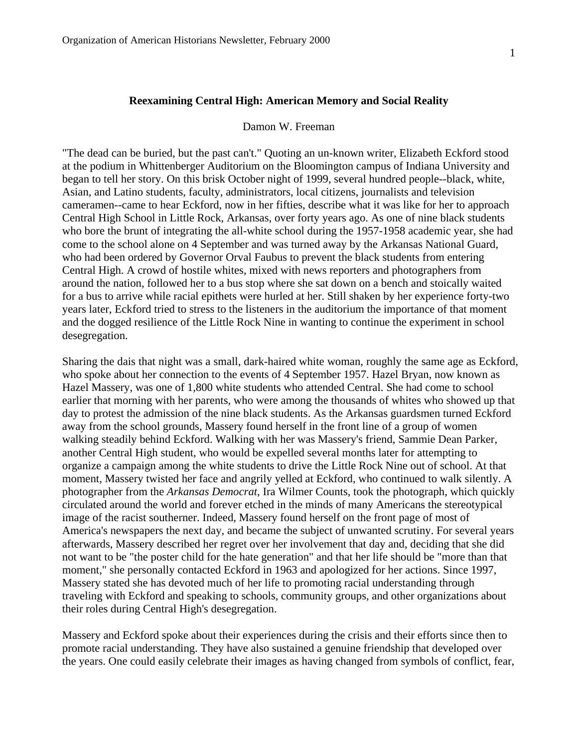### **Reexamining Central High: American Memory and Social Reality**

## Damon W. Freeman

"The dead can be buried, but the past can't." Quoting an un-known writer, Elizabeth Eckford stood at the podium in Whittenberger Auditorium on the Bloomington campus of Indiana University and began to tell her story. On this brisk October night of 1999, several hundred people--black, white, Asian, and Latino students, faculty, administrators, local citizens, journalists and television cameramen--came to hear Eckford, now in her fifties, describe what it was like for her to approach Central High School in Little Rock, Arkansas, over forty years ago. As one of nine black students who bore the brunt of integrating the all-white school during the 1957-1958 academic year, she had come to the school alone on 4 September and was turned away by the Arkansas National Guard, who had been ordered by Governor Orval Faubus to prevent the black students from entering Central High. A crowd of hostile whites, mixed with news reporters and photographers from around the nation, followed her to a bus stop where she sat down on a bench and stoically waited for a bus to arrive while racial epithets were hurled at her. Still shaken by her experience forty-two years later, Eckford tried to stress to the listeners in the auditorium the importance of that moment and the dogged resilience of the Little Rock Nine in wanting to continue the experiment in school desegregation.

Sharing the dais that night was a small, dark-haired white woman, roughly the same age as Eckford, who spoke about her connection to the events of 4 September 1957. Hazel Bryan, now known as Hazel Massery, was one of 1,800 white students who attended Central. She had come to school earlier that morning with her parents, who were among the thousands of whites who showed up that day to protest the admission of the nine black students. As the Arkansas guardsmen turned Eckford away from the school grounds, Massery found herself in the front line of a group of women walking steadily behind Eckford. Walking with her was Massery's friend, Sammie Dean Parker, another Central High student, who would be expelled several months later for attempting to organize a campaign among the white students to drive the Little Rock Nine out of school. At that moment, Massery twisted her face and angrily yelled at Eckford, who continued to walk silently. A photographer from the *Arkansas Democrat*, Ira Wilmer Counts, took the photograph, which quickly circulated around the world and forever etched in the minds of many Americans the stereotypical image of the racist southerner. Indeed, Massery found herself on the front page of most of America's newspapers the next day, and became the subject of unwanted scrutiny. For several years afterwards, Massery described her regret over her involvement that day and, deciding that she did not want to be "the poster child for the hate generation" and that her life should be "more than that moment," she personally contacted Eckford in 1963 and apologized for her actions. Since 1997, Massery stated she has devoted much of her life to promoting racial understanding through traveling with Eckford and speaking to schools, community groups, and other organizations about their roles during Central High's desegregation.

Massery and Eckford spoke about their experiences during the crisis and their efforts since then to promote racial understanding. They have also sustained a genuine friendship that developed over the years. One could easily celebrate their images as having changed from symbols of conflict, fear,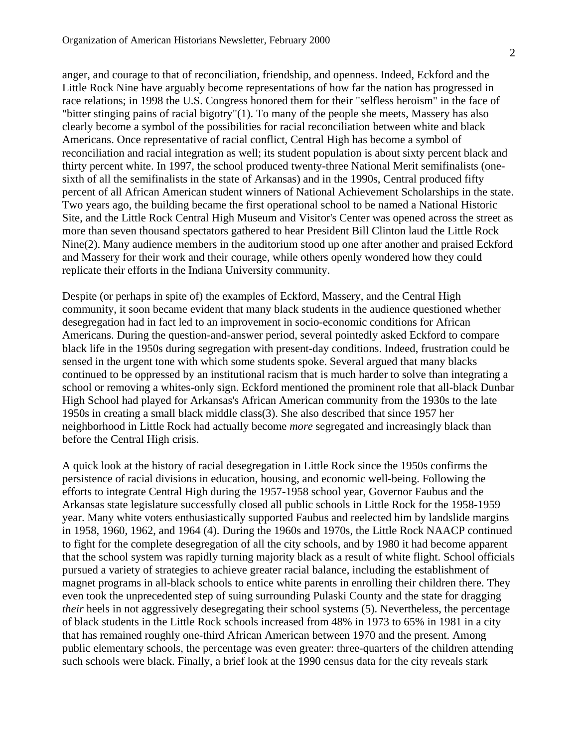anger, and courage to that of reconciliation, friendship, and openness. Indeed, Eckford and the Little Rock Nine have arguably become representations of how far the nation has progressed in race relations; in 1998 the U.S. Congress honored them for their "selfless heroism" in the face of "bitter stinging pains of racial bigotry"(1). To many of the people she meets, Massery has also clearly become a symbol of the possibilities for racial reconciliation between white and black Americans. Once representative of racial conflict, Central High has become a symbol of reconciliation and racial integration as well; its student population is about sixty percent black and thirty percent white. In 1997, the school produced twenty-three National Merit semifinalists (onesixth of all the semifinalists in the state of Arkansas) and in the 1990s, Central produced fifty percent of all African American student winners of National Achievement Scholarships in the state. Two years ago, the building became the first operational school to be named a National Historic Site, and the Little Rock Central High Museum and Visitor's Center was opened across the street as more than seven thousand spectators gathered to hear President Bill Clinton laud the Little Rock Nine(2). Many audience members in the auditorium stood up one after another and praised Eckford and Massery for their work and their courage, while others openly wondered how they could replicate their efforts in the Indiana University community.

Despite (or perhaps in spite of) the examples of Eckford, Massery, and the Central High community, it soon became evident that many black students in the audience questioned whether desegregation had in fact led to an improvement in socio-economic conditions for African Americans. During the question-and-answer period, several pointedly asked Eckford to compare black life in the 1950s during segregation with present-day conditions. Indeed, frustration could be sensed in the urgent tone with which some students spoke. Several argued that many blacks continued to be oppressed by an institutional racism that is much harder to solve than integrating a school or removing a whites-only sign. Eckford mentioned the prominent role that all-black Dunbar High School had played for Arkansas's African American community from the 1930s to the late 1950s in creating a small black middle class(3). She also described that since 1957 her neighborhood in Little Rock had actually become *more* segregated and increasingly black than before the Central High crisis.

A quick look at the history of racial desegregation in Little Rock since the 1950s confirms the persistence of racial divisions in education, housing, and economic well-being. Following the efforts to integrate Central High during the 1957-1958 school year, Governor Faubus and the Arkansas state legislature successfully closed all public schools in Little Rock for the 1958-1959 year. Many white voters enthusiastically supported Faubus and reelected him by landslide margins in 1958, 1960, 1962, and 1964 (4). During the 1960s and 1970s, the Little Rock NAACP continued to fight for the complete desegregation of all the city schools, and by 1980 it had become apparent that the school system was rapidly turning majority black as a result of white flight. School officials pursued a variety of strategies to achieve greater racial balance, including the establishment of magnet programs in all-black schools to entice white parents in enrolling their children there. They even took the unprecedented step of suing surrounding Pulaski County and the state for dragging *their* heels in not aggressively desegregating their school systems (5). Nevertheless, the percentage of black students in the Little Rock schools increased from 48% in 1973 to 65% in 1981 in a city that has remained roughly one-third African American between 1970 and the present. Among public elementary schools, the percentage was even greater: three-quarters of the children attending such schools were black. Finally, a brief look at the 1990 census data for the city reveals stark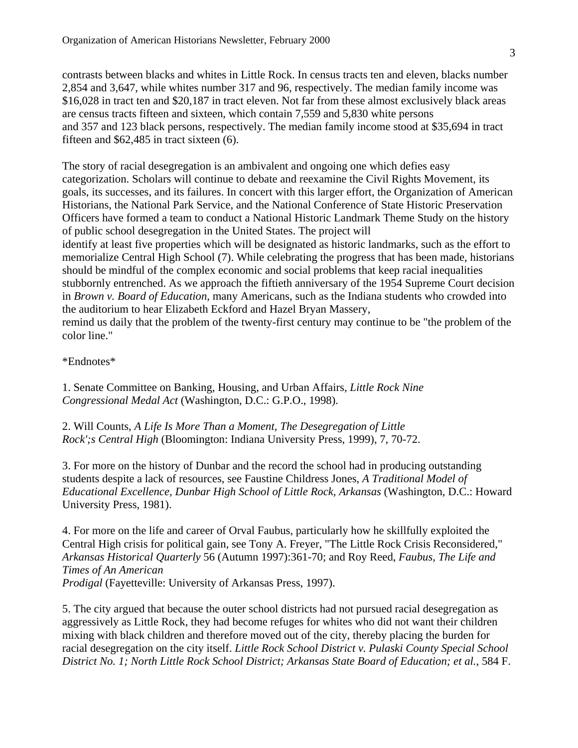contrasts between blacks and whites in Little Rock. In census tracts ten and eleven, blacks number 2,854 and 3,647, while whites number 317 and 96, respectively. The median family income was \$16,028 in tract ten and \$20,187 in tract eleven. Not far from these almost exclusively black areas are census tracts fifteen and sixteen, which contain 7,559 and 5,830 white persons and 357 and 123 black persons, respectively. The median family income stood at \$35,694 in tract fifteen and \$62,485 in tract sixteen (6).

The story of racial desegregation is an ambivalent and ongoing one which defies easy categorization. Scholars will continue to debate and reexamine the Civil Rights Movement, its goals, its successes, and its failures. In concert with this larger effort, the Organization of American Historians, the National Park Service, and the National Conference of State Historic Preservation Officers have formed a team to conduct a National Historic Landmark Theme Study on the history of public school desegregation in the United States. The project will identify at least five properties which will be designated as historic landmarks, such as the effort to memorialize Central High School (7). While celebrating the progress that has been made, historians should be mindful of the complex economic and social problems that keep racial inequalities stubbornly entrenched. As we approach the fiftieth anniversary of the 1954 Supreme Court decision in *Brown v. Board of Education*, many Americans, such as the Indiana students who crowded into the auditorium to hear Elizabeth Eckford and Hazel Bryan Massery, remind us daily that the problem of the twenty-first century may continue to be "the problem of the color line."

\*Endnotes\*

1. Senate Committee on Banking, Housing, and Urban Affairs, *Little Rock Nine Congressional Medal Act* (Washington, D.C.: G.P.O., 1998).

2. Will Counts, *A Life Is More Than a Moment, The Desegregation of Little Rock';s Central High* (Bloomington: Indiana University Press, 1999), 7, 70-72.

3. For more on the history of Dunbar and the record the school had in producing outstanding students despite a lack of resources, see Faustine Childress Jones, *A Traditional Model of Educational Excellence, Dunbar High School of Little Rock, Arkansas* (Washington, D.C.: Howard University Press, 1981).

4. For more on the life and career of Orval Faubus, particularly how he skillfully exploited the Central High crisis for political gain, see Tony A. Freyer, "The Little Rock Crisis Reconsidered," *Arkansas Historical Quarterly* 56 (Autumn 1997):361-70; and Roy Reed, *Faubus, The Life and Times of An American Prodigal* (Fayetteville: University of Arkansas Press, 1997).

5. The city argued that because the outer school districts had not pursued racial desegregation as aggressively as Little Rock, they had become refuges for whites who did not want their children mixing with black children and therefore moved out of the city, thereby placing the burden for racial desegregation on the city itself. *Little Rock School District v. Pulaski County Special School District No. 1; North Little Rock School District; Arkansas State Board of Education; et al.*, 584 F.